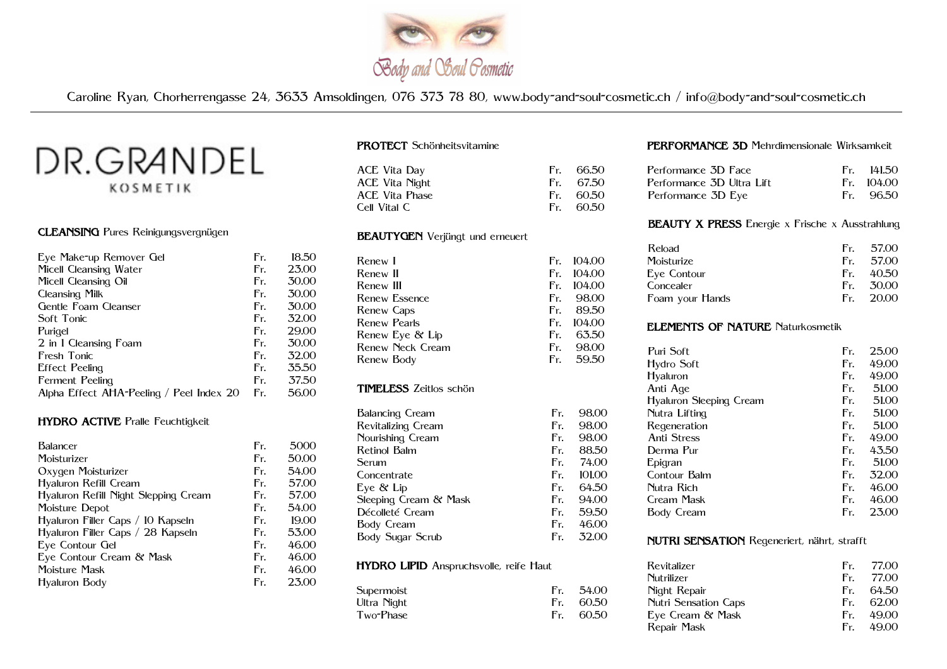

Caroline Ryan, Chorherrengasse 24, 3633 Amsoldingen, 076 373 78 80, www.body-and-soul-cosmetic.ch / info@body-and-soul-cosmetic.ch



## CLEANSING Pures Reinigungsvergnügen

| Eye Make-up Remover Gel                  | Fr. | 18.50 |
|------------------------------------------|-----|-------|
| Micell Cleansing Water                   | Fr. | 23.00 |
| Micell Cleansing Oil                     | Fr. | 30.00 |
| Cleansing Milk                           | Fr. | 30.00 |
| Gentle Foam Cleanser                     | Fr. | 30.00 |
| Soft Tonic                               | Fr. | 32.00 |
| Purigel                                  | Fr. | 29.00 |
| 2 in 1 Cleansing Foam                    | Fr. | 30.00 |
| Fresh Tonic                              | Fr. | 32.00 |
| Effect Peeling                           | Fr. | 35.50 |
| Ferment Peeling                          | Fr. | 37.50 |
| Alpha Effect AHA-Peeling / Peel Index 20 | Fr. | 56.00 |
|                                          |     |       |

### **HYDRO ACTIVE Pralle Feuchtigkeit**

| Balancer                             | Fr. | 5000  |
|--------------------------------------|-----|-------|
| Moisturizer                          | Fr. | 50.00 |
| Oxygen Moisturizer                   | Fr. | 54.00 |
| Hyaluron Refill Cream                | Fr. | 57.00 |
| Hyaluron Refill Night Slepping Cream | Fr. | 57.00 |
| Moisture Depot                       | Fr. | 54.00 |
| Hyaluron Filler Caps / 10 Kapseln    | Fr. | 19.00 |
| Hyaluron Filler Caps / 28 Kapseln    | Fr. | 53.00 |
| Eye Contour Gel                      | Fr. | 46.00 |
| Eye Contour Cream & Mask             | Fr. | 46.00 |
| Moisture Mask                        | Fr. | 46.00 |
| Hyaluron Body                        | Fr. | 23.00 |
|                                      |     |       |

# PROTECT Schönheitsvitamine

| ACE Vita Dav   | Fr. 66.50 |
|----------------|-----------|
| ACE Vita Night | Fr. 67.50 |
| ACE Vita Phase | Fr. 60.50 |
| Cell Vital C   | Fr. 60.50 |
|                |           |

# BEAUTYGEN Verjüngt und erneuert

#### TIMELESS Zeitlos schön

| <b>Balancing Cream</b> | Fr  | 98.00  |
|------------------------|-----|--------|
| Revitalizing Cream     | Fr. | 98.00  |
| Nourishing Cream       | Fr. | 98.00  |
| Retinol Balm           | Fr. | 88.50  |
| Serum                  | Fr. | 74.00  |
| Concentrate            | Fr. | 101.00 |
| $Eve \& Lip$           | Fr. | 64.50  |
| Sleeping Cream & Mask  | Fr. | 94.00  |
| Décolleté Cream        | Fr. | 59.50  |
| <b>Body Cream</b>      | Fr. | 46.00  |
| Body Sugar Scrub       | Fr. | 32.00  |

## HYDRO LIPID Anspruchsvolle, reife Haut

| Supermoist  | Fr. 54.00 |
|-------------|-----------|
| Ultra Night | Fr. 60.50 |
| Two-Phase   | Fr. 60.50 |

## PERFORMANCE 3D Mehrdimensionale Wirksamkeit

| Performance 3D Face       | $Fr.$ 141.50 |
|---------------------------|--------------|
| Performance 3D Ultra Lift | Fr. 104.00   |
| Performance 3D Eye        | Fr. 96.50    |

#### BEAUTY X PRESS Energie x Frische x Ausstrahlung

| Reload          | $Fr = 5700$ |
|-----------------|-------------|
| Moisturize      | $Fr = 5700$ |
| Eye Contour     | Fr. 40.50   |
| Concealer       | Fr. 50.00   |
| Foam your Hands | $Fr = 2000$ |

## ELEMENTS OF NATURE Naturkosmetik

| Puri Soft               | Fr. | 25.00 |
|-------------------------|-----|-------|
| Hydro Soft              | Fr. | 49.00 |
| Hyaluron                | Fr. | 49.00 |
| Anti Age                | Fr. | 51.00 |
| Hyaluron Sleeping Cream | Fr. | 51.00 |
| Nutra Lifting           | Fr. | 51.00 |
| Regeneration            | Fr. | 51.00 |
| Anti Stress             | Fr. | 49.00 |
| Derma Pur               | Fr. | 43.50 |
| Epigran                 | Fr. | 51.00 |
| Contour Balm            | Fr. | 32.00 |
| Nutra Rich              | Fr. | 46.00 |
| Cream Mask              | Fr. | 46.00 |
| Body Cream              | Fr. | 23.00 |

#### NUTRI SENSATION Regeneriert, nährt, strafft

| Revitalizer                 |    | Fr. 77.00 |
|-----------------------------|----|-----------|
| <b>Nutrilizer</b>           |    | Fr. 77.00 |
| Night Repair                | Fr | 64.50     |
| <b>Nutri Sensation Caps</b> |    | Fr. 62.00 |
| Eye Cream & Mask            | Fr | 49.00     |
| Repair Mask                 |    | Fr. 49.00 |